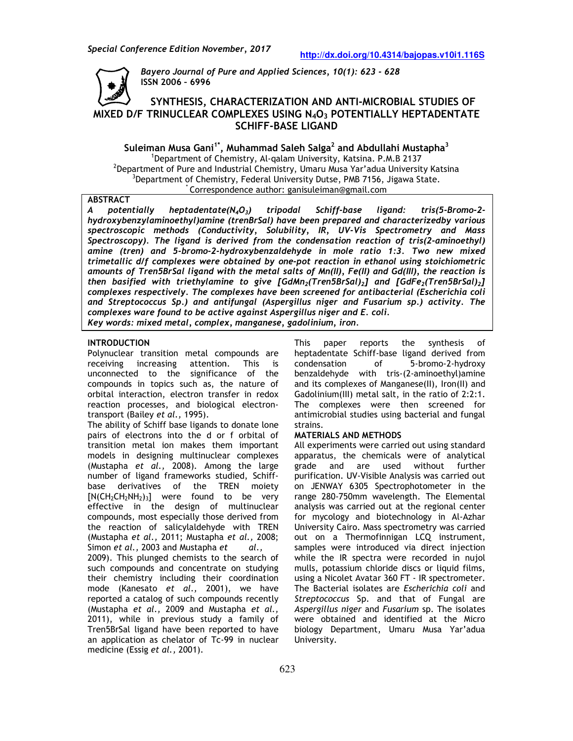

*Bayero Journal of Pure and Applied Sciences Sciences, 10(1): 623 - 628*  **ISSN 2006 – 6996**

# **SYNTHESIS, CHARACTERIZATION AND ANTI AND ANTI-MICROBIAL STUDIES OF MICROBIAL MIXED D/F TRINUCLEAR COMPLEXES USING N N4O<sup>3</sup> POTENTIALLY HEPTADENTATE SCHIFF-BASE LIGAND**

**Suleiman Musa Gani1\*, Muhammad Saleh Salga 2 and Abdullahi Mustapha and Abdullahi <sup>3</sup>** <sup>1</sup>Department of Chemistry, Al-qalam University, Katsina. P.M.B 2137  $^{\rm 2}$ Department of Pure and Industrial Chemistry, Umaru Musa Yar'adua University Katsina  $^3$ Department of Chemistry, Federal University Dutse, PMB 7156, Jigawa State. \*Correspondence author: ganisuleiman@gmail.com

## **ABSTRACT**

*A potentially heptadentate(N hydroxybenzylaminoethyl)amine (trenBrSal) have been prepared and characterizedby various*  hydroxybenzylaminoethyl)amine (trenBrSal) have been prepared and characterizedby various<br>spectroscopic methods (Conductivity, Solubility, IR, UV-Vis Spectrometry and Mass<br>Spectroscopy). The ligand is derived from t Spectroscopy). The ligand is derived from the condensation reaction of tris(2-aminoethyl) *amine (tren) and 5-bromo-2-hydroxybenzaldehyde in mole ratio 1:3. Two new mixed trimetallic d/f complexes were obtained by one amounts of Tren5BrSal ligand with the metal salts of Mn(II), Fe(II) and Gd(III), the reaction is BrSal Mn(II), Gd(III), pot in with of then basified with triethylamine to give [GdMn <sup>2</sup>(Tren5BrSal)2] and [GdFe2(Tren5BrSal) <sup>2</sup>] complexes respectively. The complexes have been screened for antibacterial ( (Escherichia Escherichia coli and Streptococcus Sp.) and antifungal ( Sp.) and (Aspergillus niger and Fusarium sp.) activity. The complexes ware found to be active against Aspergillus niger and E. coli. Key words: mixed metal, complex, manganese, gadolinium, iron. complex, iron.* $tripodal$  Schiff-base ligand: and is derived from the condensation reaction of tris(2-aminoethyl)<br>vromo-2-hydroxybenzaldehyde in mole ratio 1:3. Two new mixed<br>*es were obtained by one-pot reaction in ethanol using stoichiometric base ligand: tris(5-Bromo-2-*

### **INTRODUCTION**

Polynuclear transition metal compounds are receiving increasing attention. This is unconnected to the significance of the compounds in topics such as, the nature of orbital interaction, electron transfer in redox reaction processes, and biological electron transport (Bailey *et al.,* 1995). unconnected to the significance of the<br>compounds in topics such as, the nature of<br>orbital interaction, electron-transfer in redox<br>reaction-processes, and biological electron-

The ability of Schiff base ligands to donate lone pairs of electrons into the d or f orbital of transition metal ion makes them important models in designing multinuclear complexes (Mustapha *et al.,* 2008). Among the large number of ligand frameworks studied, Schiff base derivatives of the TREN moiety  $[N(CH_2CH_2NH_2)_3]$  were found to be very effective in the design of multinuclear compounds, most especially those derived from the reaction of salicylaldehyde with TREN [N(CH<sub>2</sub>CH<sub>2</sub>NH<sub>2</sub>)<sub>3</sub>] were found to be very<br>effective in the design of multinuclear<br>compounds, most especially those derived from<br>the reaction of salicylaldehyde with TREN<br>(Mustapha *et al.*, 2011; Mustapha *et al.*, 200 Simon *et al.,* 2003 and Mustapha *et* to donate lone<br>or f orbital of<br>em important<br>aar complexes<br>ng the large<br>tudied, Schiff*et al.,* 

2009). This plunged chemists to the search of such compounds and concentrate on studying their chemistry including their coordination mode (Kanesato *et al.,* 2001), we have reported a catalog of such compounds recently mode (Kanesato *et al.,* 2001), we have<br>reported a catalog of such compounds recently<br>(Mustapha *et al.,* 2009 and Mustapha *et al.,* 2011), while in previous study a family of Tren5BrSal ligand have been reported to have an application as chelator of Tc-99 in nuclear medicine (Essig *et al.,* 2001).

heptadentate Schiff-base ligand derived from base bromo-2-hydroxy condensation of 5-bromo benzaldehyde with tris-(2-aminoethyl)amine and its complexes of Manganese(II), Iron(II) and Gadolinium(III) metal salt, in the ratio of 2:2:1. The complexes were then screened for antimicrobial studies using bacterial and fungal strains. synthesis of it is complexes of Manganese(II), Iron(II) and<br>dolinium(III) metal salt, in the ratio of 2:2:1.<br>encomplexes were then screened for<br>imicrobial studies using bacterial and fungal<br>ains.<br>**TERIALS AND METHODS**<br>experiments were

### **MATERIALS AND METHODS**

**UCTION**<br>
UCTION<br>
Exer transition metal compounds are heptadentate Schiff-base ligate<br>
ericating interessing attention. This is condensation of 5-<br>
crited to the significance of the benzaldehyde with tris-(2-<br>
and its com All experiments were carried out using standard apparatus, the chemicals were of analytical grade and are used without further purification. UV-Visible Analysis was carried out on JENWAY 6305 Spectrophotometer range 280-750mm wavelength. The Elemental analysis was carried out at the regional center range 280-750mm wavelength. The Elemental<br>analysis was carried out at the regional center<br>for mycology and biotechnology in Al-Azhar University Cairo. Mass spectrometry was carried out on a Thermofinnigan LCQ instrument, samples were introduced via direct injection while the IR spectra were recorded in nujol mulls, potassium chloride discs or liquid films, using a Nicolet Avatar 360 FT - IR spectrometer. The Bacterial isolates are *Escherichia coli Streptococcus* Sp. and that of Fungal are *Aspergillus niger* and *Fusarium* sp. The isolates were obtained and identified at the Micro biology Department, Umaru Musa Yar'adua University. hermofinnigan LCQ instrument,<br>introduced via direct injection<br>spectra were recorded in nujol<br>um chloride discs or liquid films,<br>Avatar 360 FT - IR spectrometer.<br>isolates are *Escherichia coli* and *Streptococcus* Sp. and that of Funga<br>*Aspergillus niger* and*Fusarium* sp. The is<br>were obtained and identified at the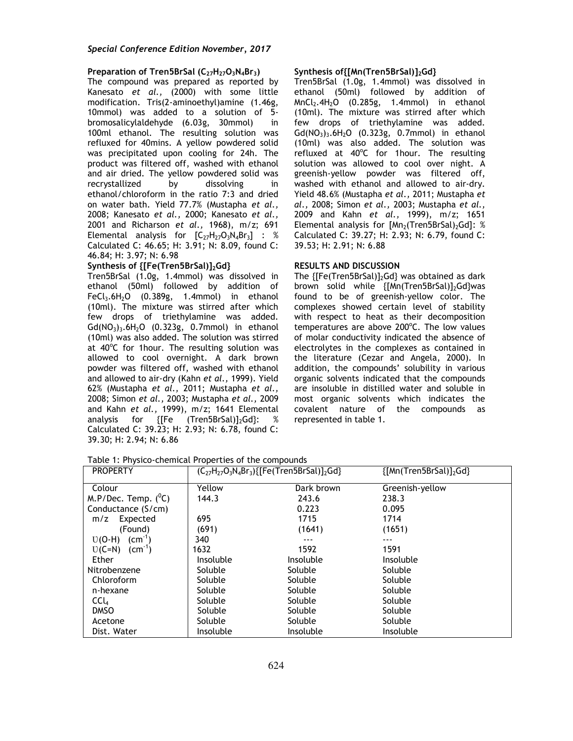### **Preparation of Tren5BrSal (C27H27O3N4Br3)**

The compound was prepared as reported by Kanesato *et al.,* (2000) with some little modification. Tris(2-aminoethyl)amine (1.46g, 10mmol) was added to a solution of 5 bromosalicylaldehyde (6.03g, 30mmol) in 100ml ethanol. The resulting solution was refluxed for 40mins. A yellow powdered solid was precipitated upon cooling for 24h. The product was filtered off, washed with ethanol and air dried. The yellow powdered solid was recrystallized by dissolving in ethanol/chloroform in the ratio 7:3 and dried on water bath. Yield 77.7% (Mustapha *et al.,*  2008; Kanesato *et al.,* 2000; Kanesato *et al.,*  2001 and Richarson *et al.,* 1968), m/z; 691 Elemental analysis for  $[C_{27}H_{27}O_3N_4Br_3]$  : % Calculated C: 46.65; H: 3.91; N: 8.09, found C: 46.84; H: 3.97; N: 6.98

### **Synthesis of {[Fe(Tren5BrSal)]2Gd}**

Tren5BrSal (1.0g, 1.4mmol) was dissolved in ethanol (50ml) followed by addition of FeCl<sub>3</sub>.6H<sub>2</sub>O  $(0.389g, 1.4mmol)$  in ethanol (10ml). The mixture was stirred after which few drops of triethylamine was added.  $Gd(NO<sub>3</sub>)<sub>3</sub>$ .6H<sub>2</sub>O (0.323g, 0.7mmol) in ethanol (10ml) was also added. The solution was stirred at  $40^{\circ}$ C for 1hour. The resulting solution was allowed to cool overnight. A dark brown powder was filtered off, washed with ethanol and allowed to air-dry (Kahn *et al.,* 1999). Yield 62% (Mustapha *et al.,* 2011; Mustapha *et al.,*  2008; Simon *et al.,* 2003; Mustapha *et al.,* 2009 and Kahn *et al.,* 1999), m/z; 1641 Elemental analysis for {[Fe (Tren5BrSal)]<sub>2</sub>Gd}: % Calculated C: 39.23; H: 2.93; N: 6.78, found C: 39.30; H: 2.94; N: 6.86

#### **Synthesis of{[Mn(Tren5BrSal)]2Gd}**

Tren5BrSal (1.0g, 1.4mmol) was dissolved in ethanol (50ml) followed by addition of  $MnCl<sub>2</sub>.4H<sub>2</sub>O$  (0.285g, 1.4mmol) in ethanol (10ml). The mixture was stirred after which few drops of triethylamine was added.  $Gd(NO<sub>3</sub>)<sub>3</sub>$ .6H<sub>2</sub>O (0.323g, 0.7mmol) in ethanol (10ml) was also added. The solution was refluxed at 40°C for 1hour. The resulting solution was allowed to cool over night. A greenish-yellow powder was filtered off, washed with ethanol and allowed to air-dry. Yield 48.6% (Mustapha *et al.,* 2011; Mustapha *et al.,* 2008; Simon *et al.,* 2003; Mustapha *et al.,*  2009 and Kahn *et al.,* 1999), m/z; 1651 Elemental analysis for  $[Mn<sub>2</sub>(Tren5BrSal)<sub>2</sub>Gd]$ : % Calculated C: 39.27; H: 2.93; N: 6.79, found C: 39.53; H: 2.91; N: 6.88

#### **RESULTS AND DISCUSSION**

The  ${[Fe(Tren5BrSal)}_2Gd}$  was obtained as dark brown solid while {[Mn(Tren5BrSal)]<sub>2</sub>Gd}was found to be of greenish-yellow color. The complexes showed certain level of stability with respect to heat as their decomposition temperatures are above 200°C. The low values of molar conductivity indicated the absence of electrolytes in the complexes as contained in the literature (Cezar and Angela, 2000). In addition, the compounds' solubility in various organic solvents indicated that the compounds are insoluble in distilled water and soluble in most organic solvents which indicates the covalent nature of the compounds as represented in table 1.

| Table 1: Physico-chemical Properties of the compounds |  |
|-------------------------------------------------------|--|
|                                                       |  |

| <b>PROPERTY</b>        | $(C_{27}H_{27}O_3N_4Br_3){F}$ Fe(Tren5BrSal)] <sub>2</sub> Gd} |            | {[Mn(Tren5BrSal)] <sub>2</sub> Gd} |
|------------------------|----------------------------------------------------------------|------------|------------------------------------|
| Colour                 | Yellow                                                         | Dark brown | Greenish-yellow                    |
| M.P/Dec. Temp. $(^0C)$ | 144.3                                                          | 243.6      | 238.3                              |
| Conductance (S/cm)     |                                                                | 0.223      | 0.095                              |
| Expected<br>m/z        | 695                                                            | 1715       | 1714                               |
| (Found)                | (691)                                                          | (1641)     | (1651)                             |
| $(cm-1)$<br>$U(O-H)$   | 340                                                            | $- - -$    |                                    |
| $U(C=N)$ $(cm-1)$      | 1632                                                           | 1592       | 1591                               |
| Ether                  | Insoluble                                                      | Insoluble  | Insoluble                          |
| Nitrobenzene           | Soluble                                                        | Soluble    | Soluble                            |
| Chloroform             | Soluble                                                        | Soluble    | Soluble                            |
| n-hexane               | Soluble                                                        | Soluble    | Soluble                            |
| CCL                    | Soluble                                                        | Soluble    | Soluble                            |
| <b>DMSO</b>            | Soluble                                                        | Soluble    | Soluble                            |
| Acetone                | Soluble                                                        | Soluble    | Soluble                            |
| Dist. Water            | Insoluble                                                      | Insoluble  | Insoluble                          |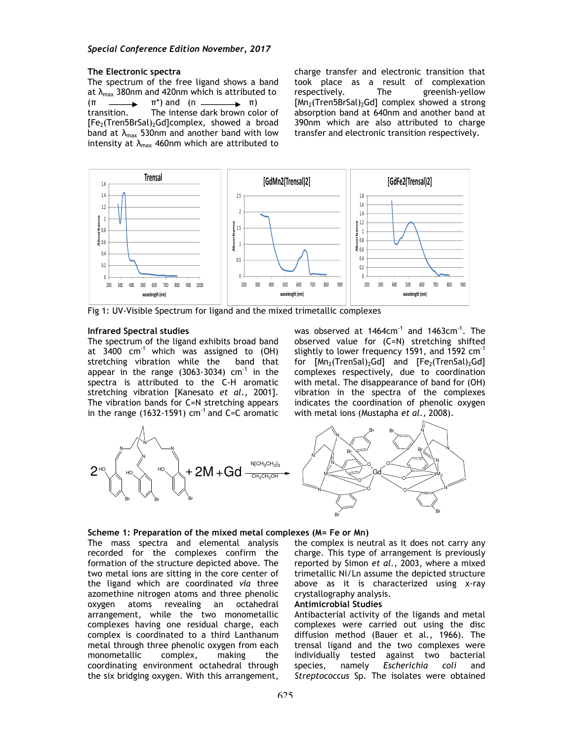## **The Electronic spectra**

The spectrum of the free ligand shows a band at  $\lambda_{\text{max}}$  380nm and 420nm which is attributed to  $(\pi \longrightarrow \pi^*)$  and  $(n \longrightarrow \pi)$ transition. The intense dark brown color of [Fe<sub>2</sub>(Tren5BrSal)<sub>2</sub>Gd]complex, showed a broad band at  $\lambda_{\text{max}}$  530nm and another band with low intensity at  $\lambda_{\text{max}}$  460nm which are attributed to charge transfer and electronic transition that took place as a result of complexation respectively. The greenish-yellow  $[Mn_2(Tren5BrSal)_2Gd]$  complex showed a strong absorption band at 640nm and another band at 390nm which are also attributed to charge transfer and electronic transition respectively.



Fig 1: UV-Visible Spectrum for ligand and the mixed trimetallic complexes

#### **Infrared Spectral studies**

The spectrum of the ligand exhibits broad band at  $3400 \text{ cm}^{-1}$  which was assigned to (OH) stretching vibration while the band that appear in the range  $(3063-3034)$  cm<sup>-1</sup> in the spectra is attributed to the C-H aromatic stretching vibration [Kanesato *et al.,* 2001]. The vibration bands for C=N stretching appears in the range (1632-1591)  $cm^{-1}$  and C=C aromatic

was observed at  $1464 \text{cm}^{-1}$  and  $1463 \text{cm}^{-1}$ . The observed value for (C=N) stretching shifted slightly to lower frequency 1591, and 1592  $cm^{-1}$ for  $[Mn_2(TrenSal)_2Gd]$  and  $[Fe_2(TrenSal)_2Gd]$ complexes respectively, due to coordination with metal. The disappearance of band for (OH) vibration in the spectra of the complexes indicates the coordination of phenolic oxygen with metal ions (Mustapha *et al.,* 2008).



#### **Scheme 1: Preparation of the mixed metal complexes (M= Fe or Mn)**

The mass spectra and elemental analysis recorded for the complexes confirm the formation of the structure depicted above. The two metal ions are sitting in the core center of the ligand which are coordinated *via* three azomethine nitrogen atoms and three phenolic oxygen atoms revealing an octahedral arrangement, while the two monometallic complexes having one residual charge, each complex is coordinated to a third Lanthanum metal through three phenolic oxygen from each monometallic complex, making the coordinating environment octahedral through the six bridging oxygen. With this arrangement,

the complex is neutral as it does not carry any charge. This type of arrangement is previously reported by Simon *et al.,* 2003, where a mixed trimetallic Ni/Ln assume the depicted structure above as it is characterized using x-ray crystallography analysis.

### **Antimicrobial Studies**

Antibacterial activity of the ligands and metal complexes were carried out using the disc diffusion method (Bauer et al., 1966). The trensal ligand and the two complexes were individually tested against two bacterial species, namely *Escherichia coli* and *Streptococcus* Sp. The isolates were obtained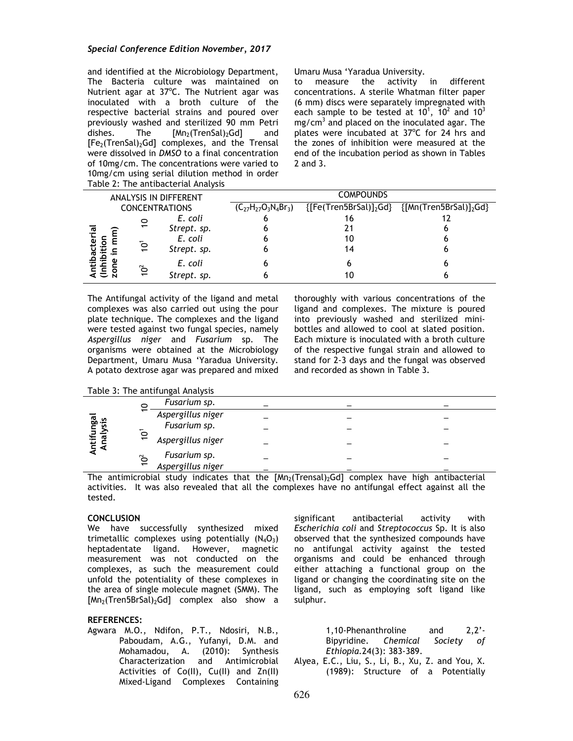### *Special Conference Edition November, 2017*

and identified at the Microbiology Department, Umaru Musa 'Yaradua University. The Bacteria culture was maintained on Nutrient agar at 37°C. The Nutrient agar was inoculated with a broth culture of the respective bacterial strains and poured over previously washed and sterilized 90 mm Petri dishes. The  $[Mn_2(TrenSal)_2Gd]$  and  $[Fe<sub>2</sub>(TrenSal)<sub>2</sub>Gd] complexes, and the Trensal$ were dissolved in *DMSO* to a final concentration of 10mg/cm. The concentrations were varied to 10mg/cm using serial dilution method in order Table 2: The antibacterial Analysis

to measure the activity in different concentrations. A sterile Whatman filter paper (6 mm) discs were separately impregnated with each sample to be tested at 10<sup>1</sup>, 10<sup>2</sup> and 10<sup>3</sup> mg/cm $^3$  and placed on the inoculated agar. The plates were incubated at 37°C for 24 hrs and the zones of inhibition were measured at the end of the incubation period as shown in Tables 2 and 3.

| <b>ANALYSIS IN DIFFERENT</b> |                 |                            | <b>COMPOUNDS</b> |                                                   |   |
|------------------------------|-----------------|----------------------------|------------------|---------------------------------------------------|---|
| <b>CONCENTRATIONS</b>        |                 | $(C_{27}H_{27}O_3N_4Br_3)$ |                  | ${[Fe(Tren5BrSal)]_2Gd}$ ${[Mn(Tren5BrSal)]_2Gd}$ |   |
|                              | $\tilde{c}$     | E. coli                    |                  | 16                                                |   |
| ದ                            |                 | Strept. sp.                |                  |                                                   |   |
|                              |                 | E. coli                    |                  | 10                                                |   |
|                              | $\overline{Q}$  | Strept. sp.                |                  | 14                                                |   |
|                              |                 | E. coli                    |                  | 6                                                 | h |
|                              | 10 <sup>2</sup> | Strept. sp.                |                  | 10                                                |   |

The Antifungal activity of the ligand and metal complexes was also carried out using the pour plate technique. The complexes and the ligand were tested against two fungal species, namely *Aspergillus niger* and *Fusarium* sp. The organisms were obtained at the Microbiology Department, Umaru Musa 'Yaradua University. A potato dextrose agar was prepared and mixed thoroughly with various concentrations of the ligand and complexes. The mixture is poured into previously washed and sterilized minibottles and allowed to cool at slated position. Each mixture is inoculated with a broth culture of the respective fungal strain and allowed to stand for 2-3 days and the fungal was observed and recorded as shown in Table 3.

Table 3: The antifungal Analysis

| ntifungal<br>Analysis | 0                        | Fusarium sp.      |  |  |
|-----------------------|--------------------------|-------------------|--|--|
|                       | $\overline{\phantom{0}}$ | Aspergillus niger |  |  |
|                       |                          | Fusarium sp.      |  |  |
|                       | $\tilde{c}$              | Aspergillus niger |  |  |
|                       | 10 <sup>2</sup>          | Fusarium sp.      |  |  |
|                       |                          | Aspergillus niger |  |  |

The antimicrobial study indicates that the  $[Mn_2(Trensal)_2Gd]$  complex have high antibacterial activities. It was also revealed that all the complexes have no antifungal effect against all the tested.

## **CONCLUSION**

We have successfully synthesized mixed trimetallic complexes using potentially  $(N_4O_3)$ heptadentate ligand. However, magnetic measurement was not conducted on the complexes, as such the measurement could unfold the potentiality of these complexes in the area of single molecule magnet (SMM). The  $[Mn<sub>2</sub>(Tren5BrSal)<sub>2</sub>Gd]$  complex also show a

## **REFERENCES:**

Agwara M.O., Ndifon, P.T., Ndosiri, N.B., Paboudam, A.G., Yufanyi, D.M. and Mohamadou, A. (2010): Synthesis Characterization and Antimicrobial Activities of Co(II), Cu(II) and Zn(II) Mixed-Ligand Complexes Containing

significant antibacterial activity with *Escherichia coli* and *Streptococcus* Sp. It is also observed that the synthesized compounds have no antifungal activity against the tested organisms and could be enhanced through either attaching a functional group on the ligand or changing the coordinating site on the ligand, such as employing soft ligand like sulphur.

> 1,10-Phenanthroline and 2,2'- Bipyridine. *Chemical Society of Ethiopia.*24(3): 383-389.

Alyea, E.C., Liu, S., Li, B., Xu, Z. and You, X. (1989): Structure of a Potentially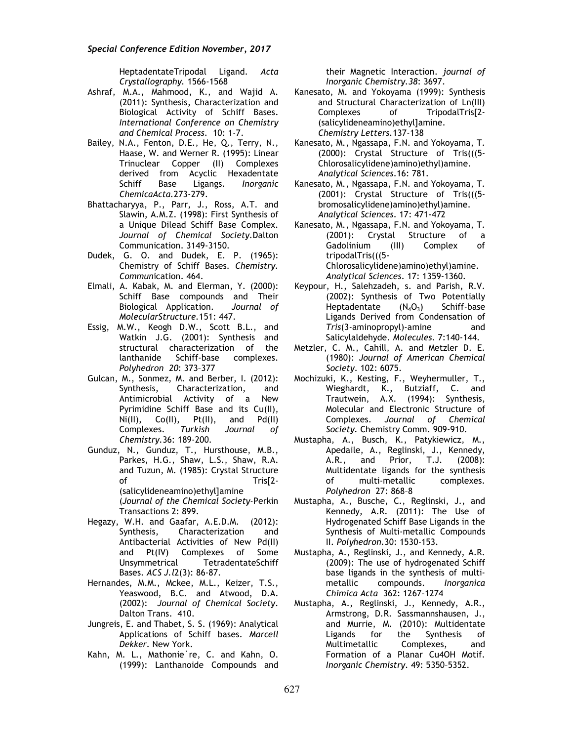HeptadentateTripodal Ligand. *Acta Crystallography.* 1566-1568

- Ashraf, M.A., Mahmood, K., and Wajid A. (2011): Synthesis, Characterization and Biological Activity of Schiff Bases. *International Conference on Chemistry and Chemical Process.* 10: 1-7.
- Bailey, N.A., Fenton, D.E., He, Q., Terry, N., Haase, W. and Werner R. (1995): Linear Trinuclear Copper (II) Complexes derived from Acyclic Hexadentate Schiff Base Ligangs. *Inorganic ChemicaActa.*273-279.
- Bhattacharyya, P., Parr, J., Ross, A.T. and Slawin, A.M.Z. (1998): First Synthesis of a Unique Dilead Schiff Base Complex. *Journal of Chemical Society.*Dalton Communication. 3149-3150.
- Dudek, G. O. and Dudek, E. P. (1965): Chemistry of Schiff Bases. *Chemistry. Commun*ication. 464.
- Elmali, A. Kabak, M. and Elerman, Y. (2000): Schiff Base compounds and Their Biological Application. *Journal of MolecularStructure.*151: 447.
- Essig, M.W., Keogh D.W., Scott B.L., and Watkin J.G. (2001): Synthesis and structural characterization of the lanthanide Schiff-base complexes. *Polyhedron 20*: 373–377
- Gulcan, M., Sonmez, M. and Berber, I. (2012): Synthesis, Characterization, and Antimicrobial Activity of a New Pyrimidine Schiff Base and its Cu(II),<br>Ni(II), Co(II), Pt(II), and Pd(II)  $Ni(II)$ ,  $Co(II)$ ,  $Pt(II)$ , Complexes. *Turkish Journal of Chemistry.*36: 189-200.
- Gunduz, N., Gunduz, T., Hursthouse, M.B., Parkes, H.G., Shaw, L.S., Shaw, R.A. and Tuzun, M. (1985): Crystal Structure of Tris[2-(salicylideneamino)ethyl]amine (*Journal of the Chemical Society*-Perkin Transactions 2: 899.
- Hegazy, W.H. and Gaafar, A.E.D.M. (2012): Characterization and Antibacterial Activities of New Pd(II) and Pt(IV) Complexes of Some Unsymmetrical TetradentateSchiff Bases. *ACS J.l*2(3): 86-87.
- Hernandes, M.M., Mckee, M.L., Keizer, T.S., Yeaswood, B.C. and Atwood, D.A. (2002): *Journal of Chemical Society*. Dalton Trans. 410.
- Jungreis, E. and Thabet, S. S. (1969): Analytical Applications of Schiff bases. *Marcell Dekker*. New York.
- Kahn, M. L., Mathonie`re, C. and Kahn, O. (1999): Lanthanoide Compounds and

their Magnetic Interaction. *journal of Inorganic Chemistry.38*: 3697.

- Kanesato, M. and Yokoyama (1999): Synthesis and Structural Characterization of Ln(III) Complexes of TripodalTris[2- (salicylideneamino)ethyl]amine. *Chemistry Letters.*137-138
- Kanesato, M., Ngassapa, F.N. and Yokoyama, T. (2000): Crystal Structure of Tris(((5- Chlorosalicylidene)amino)ethyl)amine. *Analytical Sciences*.16: 781.
- Kanesato, M., Ngassapa, F.N. and Yokoyama, T. (2001): Crystal Structure of Tris(((5 bromosalicylidene)amino)ethyl)amine. *Analytical Sciences*. 17: 471-472
- Kanesato, M., Ngassapa, F.N. and Yokoyama, T. (2001): Crystal Structure of a Gadolinium (III) Complex of tripodalTris(((5- Chlorosalicylidene)amino)ethyl)amine. *Analytical Sciences*. 17: 1359-1360.
- Keypour, H., Salehzadeh, s. and Parish, R.V. (2002): Synthesis of Two Potentially Heptadentate  $(N_4O_3)$  Schiff-base Ligands Derived from Condensation of *Tris*(3-aminopropyl)-amine and Salicylaldehyde. *Molecules.* 7:140-144.
- Metzler, C. M., Cahill, A. and Metzler D. E. (1980): *Journal of American Chemical Society*. 102: 6075.
- Mochizuki, K., Kesting, F., Weyhermuller, T., Wieghardt, K., Butziaff, C. and Trautwein, A.X. (1994): Synthesis, Molecular and Electronic Structure of Complexes. *Journal of Chemical Society.* Chemistry Comm. 909-910.
- Mustapha, A., Busch, K., Patykiewicz, M., Apedaile, A., Reglinski, J., Kennedy, A.R., and Prior, T.J. (2008): Multidentate ligands for the synthesis of multi-metallic complexes. *Polyhedron* 27: 868–8
- Mustapha, A., Busche, C., Reglinski, J., and Kennedy, A.R. (2011): The Use of Hydrogenated Schiff Base Ligands in the Synthesis of Multi-metallic Compounds II. *Polyhedron.*30: 1530-153.
- Mustapha, A., Reglinski, J., and Kennedy, A.R. (2009): The use of hydrogenated Schiff base ligands in the synthesis of multimetallic compounds. *Inorganica Chimica Acta* 362: 1267–1274
- Mustapha, A., Reglinski, J., Kennedy, A.R., Armstrong, D.R. Sassmannshausen, J., and Murrie, M. (2010): Multidentate Ligands for the Synthesis of Multimetallic Complexes, and Formation of a Planar Cu4OH Motif. *Inorganic Chemistry*. 49: 5350–5352.